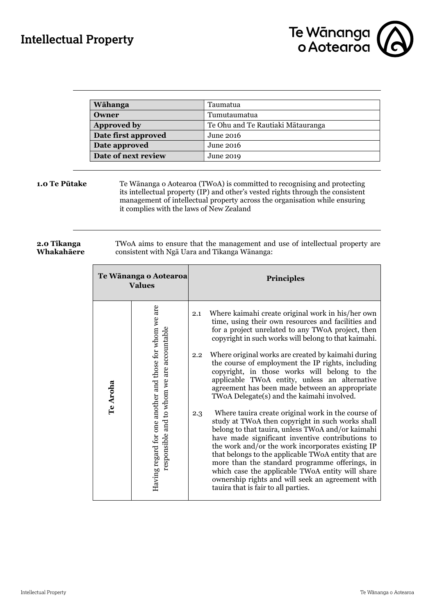

| Wāhanga             | Taumatua                          |
|---------------------|-----------------------------------|
| Owner               | Tumutaumatua                      |
| Approved by         | Te Ohu and Te Rautiaki Mātauranga |
| Date first approved | June 2016                         |
| Date approved       | June 2016                         |
| Date of next review | June 2019                         |

**1.0 Te Pūtake** Te Wānanga o Aotearoa (TWoA) is committed to recognising and protecting its intellectual property (IP) and other's vested rights through the consistent management of intellectual property across the organisation while ensuring it complies with the laws of New Zealand

### **2.0 Tikanga Whakahāere**

TWoA aims to ensure that the management and use of intellectual property are consistent with Ngā Uara and Tikanga Wānanga:

| Te Wānanga o Aotearoa<br><b>Values</b>                              |                                            | <b>Principles</b>                                                                                                                                                                                                                                                                                                                                                                                                                                                                                                                   |  |
|---------------------------------------------------------------------|--------------------------------------------|-------------------------------------------------------------------------------------------------------------------------------------------------------------------------------------------------------------------------------------------------------------------------------------------------------------------------------------------------------------------------------------------------------------------------------------------------------------------------------------------------------------------------------------|--|
| Having regard for one another and those for whom we are<br>Te Aroha |                                            | Where kaimahi create original work in his/her own<br>2.1<br>time, using their own resources and facilities and<br>for a project unrelated to any TWoA project, then<br>copyright in such works will belong to that kaimahi.                                                                                                                                                                                                                                                                                                         |  |
|                                                                     | responsible and to whom we are accountable | Where original works are created by kaimahi during<br>$2.2\,$<br>the course of employment the IP rights, including<br>copyright, in those works will belong to the<br>applicable TWoA entity, unless an alternative<br>agreement has been made between an appropriate<br>TWoA Delegate(s) and the kaimahi involved.                                                                                                                                                                                                                 |  |
|                                                                     |                                            | Where tauira create original work in the course of<br>2.3<br>study at TWoA then copyright in such works shall<br>belong to that tauira, unless TWoA and/or kaimahi<br>have made significant inventive contributions to<br>the work and/or the work incorporates existing IP<br>that belongs to the applicable TWoA entity that are<br>more than the standard programme offerings, in<br>which case the applicable TWoA entity will share<br>ownership rights and will seek an agreement with<br>tauira that is fair to all parties. |  |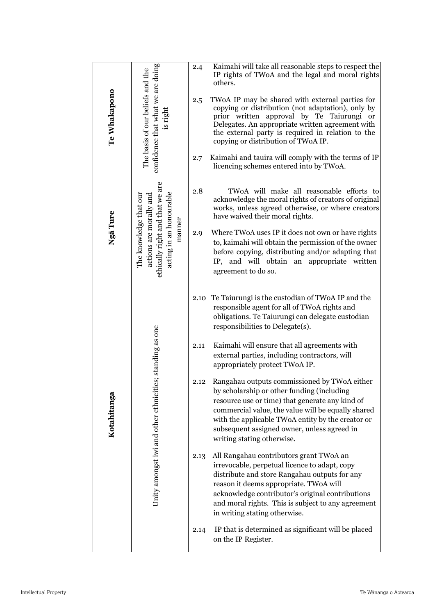| Te Whakapono | confidence that what we are doing<br>The basis of our beliefs and the<br>is right                                         | 2.4<br>2.5<br>2.7                    | Kaimahi will take all reasonable steps to respect the<br>IP rights of TWoA and the legal and moral rights<br>others.<br>TWoA IP may be shared with external parties for<br>copying or distribution (not adaptation), only by<br>prior written approval by Te Taiurungi or<br>Delegates. An appropriate written agreement with<br>the external party is required in relation to the<br>copying or distribution of TWoA IP.<br>Kaimahi and tauira will comply with the terms of IP<br>licencing schemes entered into by TWoA.                                                                                                                                                                                                                                                                                                                                                                                                                                                                                                                                                          |
|--------------|---------------------------------------------------------------------------------------------------------------------------|--------------------------------------|--------------------------------------------------------------------------------------------------------------------------------------------------------------------------------------------------------------------------------------------------------------------------------------------------------------------------------------------------------------------------------------------------------------------------------------------------------------------------------------------------------------------------------------------------------------------------------------------------------------------------------------------------------------------------------------------------------------------------------------------------------------------------------------------------------------------------------------------------------------------------------------------------------------------------------------------------------------------------------------------------------------------------------------------------------------------------------------|
| Ngā Ture     | ethically right and that we are<br>The knowledge that our<br>acting in an honourable<br>actions are morally and<br>manner | 2.8<br>2.9                           | TWoA will make all reasonable efforts to<br>acknowledge the moral rights of creators of original<br>works, unless agreed otherwise, or where creators<br>have waived their moral rights.<br>Where TWoA uses IP it does not own or have rights<br>to, kaimahi will obtain the permission of the owner<br>before copying, distributing and/or adapting that<br>IP, and will obtain an appropriate written<br>agreement to do so.                                                                                                                                                                                                                                                                                                                                                                                                                                                                                                                                                                                                                                                       |
| Kotahitanga  | es; standing as one<br>Unity amongst iwi and other ethniciti                                                              | 2.10<br>2.11<br>2.12<br>2.13<br>2.14 | Te Taiurungi is the custodian of TWoA IP and the<br>responsible agent for all of TWoA rights and<br>obligations. Te Taiurungi can delegate custodian<br>responsibilities to Delegate(s).<br>Kaimahi will ensure that all agreements with<br>external parties, including contractors, will<br>appropriately protect TWoA IP.<br>Rangahau outputs commissioned by TWoA either<br>by scholarship or other funding (including<br>resource use or time) that generate any kind of<br>commercial value, the value will be equally shared<br>with the applicable TWoA entity by the creator or<br>subsequent assigned owner, unless agreed in<br>writing stating otherwise.<br>All Rangahau contributors grant TWoA an<br>irrevocable, perpetual licence to adapt, copy<br>distribute and store Rangahau outputs for any<br>reason it deems appropriate. TWoA will<br>acknowledge contributor's original contributions<br>and moral rights. This is subject to any agreement<br>in writing stating otherwise.<br>IP that is determined as significant will be placed<br>on the IP Register. |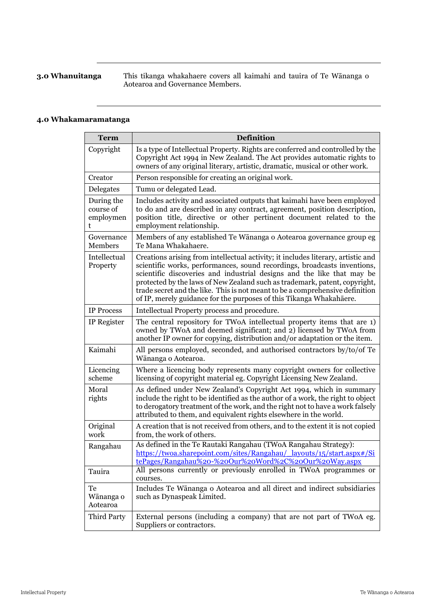**3.0 Whanuitanga** This tikanga whakahaere covers all kaimahi and tauira of Te Wānanga o Aotearoa and Governance Members.

# **4.0 Whakamaramatanga**

| <b>Term</b>                               | <b>Definition</b>                                                                                                                                                                                                                                                                                                                                                                                                                                                            |  |  |  |  |
|-------------------------------------------|------------------------------------------------------------------------------------------------------------------------------------------------------------------------------------------------------------------------------------------------------------------------------------------------------------------------------------------------------------------------------------------------------------------------------------------------------------------------------|--|--|--|--|
| Copyright                                 | Is a type of Intellectual Property. Rights are conferred and controlled by the<br>Copyright Act 1994 in New Zealand. The Act provides automatic rights to<br>owners of any original literary, artistic, dramatic, musical or other work.                                                                                                                                                                                                                                     |  |  |  |  |
| Creator                                   | Person responsible for creating an original work.                                                                                                                                                                                                                                                                                                                                                                                                                            |  |  |  |  |
| Delegates                                 | Tumu or delegated Lead.                                                                                                                                                                                                                                                                                                                                                                                                                                                      |  |  |  |  |
| During the<br>course of<br>employmen<br>t | Includes activity and associated outputs that kaimahi have been employed<br>to do and are described in any contract, agreement, position description,<br>position title, directive or other pertinent document related to the<br>employment relationship.                                                                                                                                                                                                                    |  |  |  |  |
| Governance<br>Members                     | Members of any established Te Wānanga o Aotearoa governance group eg<br>Te Mana Whakahaere.                                                                                                                                                                                                                                                                                                                                                                                  |  |  |  |  |
| Intellectual<br>Property                  | Creations arising from intellectual activity; it includes literary, artistic and<br>scientific works, performances, sound recordings, broadcasts inventions,<br>scientific discoveries and industrial designs and the like that may be<br>protected by the laws of New Zealand such as trademark, patent, copyright,<br>trade secret and the like. This is not meant to be a comprehensive definition<br>of IP, merely guidance for the purposes of this Tikanga Whakahāere. |  |  |  |  |
| <b>IP Process</b>                         | Intellectual Property process and procedure.                                                                                                                                                                                                                                                                                                                                                                                                                                 |  |  |  |  |
| IP Register                               | The central repository for TWoA intellectual property items that are 1)<br>owned by TWoA and deemed significant; and 2) licensed by TWoA from<br>another IP owner for copying, distribution and/or adaptation or the item.                                                                                                                                                                                                                                                   |  |  |  |  |
| Kaimahi                                   | All persons employed, seconded, and authorised contractors by/to/of Te<br>Wānanga o Aotearoa.                                                                                                                                                                                                                                                                                                                                                                                |  |  |  |  |
| Licencing<br>scheme                       | Where a licencing body represents many copyright owners for collective<br>licensing of copyright material eg. Copyright Licensing New Zealand.                                                                                                                                                                                                                                                                                                                               |  |  |  |  |
| Moral<br>rights                           | As defined under New Zealand's Copyright Act 1994, which in summary<br>include the right to be identified as the author of a work, the right to object<br>to derogatory treatment of the work, and the right not to have a work falsely<br>attributed to them, and equivalent rights elsewhere in the world.                                                                                                                                                                 |  |  |  |  |
| Original<br>work                          | A creation that is not received from others, and to the extent it is not copied<br>from, the work of others.                                                                                                                                                                                                                                                                                                                                                                 |  |  |  |  |
| Rangahau                                  | As defined in the Te Rautaki Rangahau (TWoA Rangahau Strategy):<br>https://twoa.sharepoint.com/sites/Rangahau/ layouts/15/start.aspx#/Si<br><u>tePages/Rangahau%20-%20Our%20Word%2C%20Our%20Way.aspx</u>                                                                                                                                                                                                                                                                     |  |  |  |  |
| Tauira                                    | All persons currently or previously enrolled in TWoA programmes or<br>courses.                                                                                                                                                                                                                                                                                                                                                                                               |  |  |  |  |
| Te<br>Wānanga o<br>Aotearoa               | Includes Te Wānanga o Aotearoa and all direct and indirect subsidiaries<br>such as Dynaspeak Limited.                                                                                                                                                                                                                                                                                                                                                                        |  |  |  |  |
| Third Party                               | External persons (including a company) that are not part of TWoA eg.<br>Suppliers or contractors.                                                                                                                                                                                                                                                                                                                                                                            |  |  |  |  |